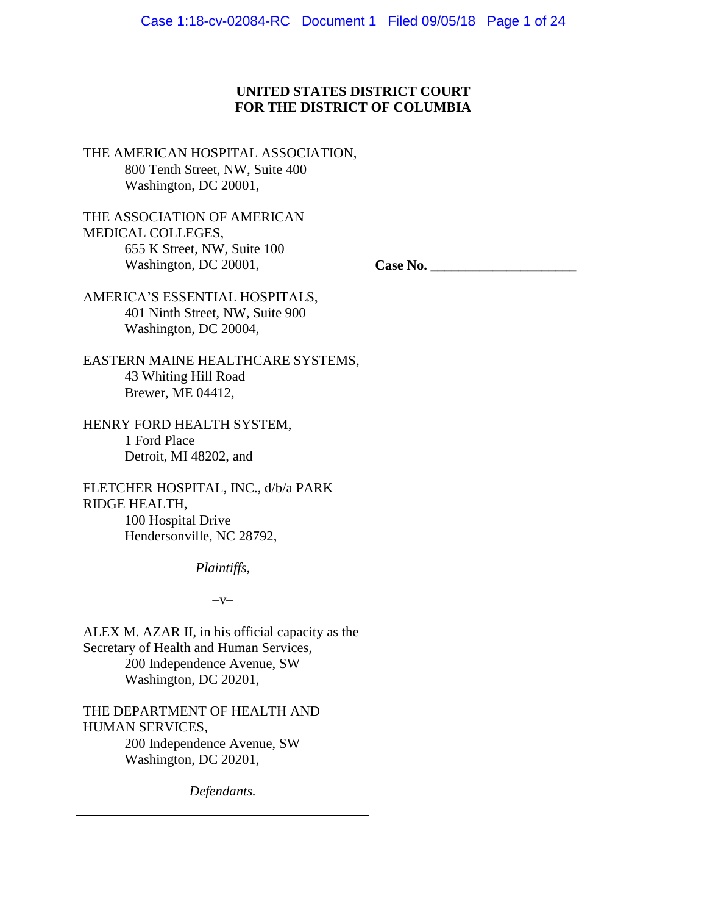# **UNITED STATES DISTRICT COURT FOR THE DISTRICT OF COLUMBIA**

 $\overline{\phantom{0}}$ 

| THE AMERICAN HOSPITAL ASSOCIATION,<br>800 Tenth Street, NW, Suite 400<br>Washington, DC 20001,                                                      |          |
|-----------------------------------------------------------------------------------------------------------------------------------------------------|----------|
| THE ASSOCIATION OF AMERICAN<br>MEDICAL COLLEGES,<br>655 K Street, NW, Suite 100<br>Washington, DC 20001,                                            | Case No. |
| AMERICA'S ESSENTIAL HOSPITALS,<br>401 Ninth Street, NW, Suite 900<br>Washington, DC 20004,                                                          |          |
| EASTERN MAINE HEALTHCARE SYSTEMS,<br>43 Whiting Hill Road<br>Brewer, ME 04412,                                                                      |          |
| HENRY FORD HEALTH SYSTEM,<br>1 Ford Place<br>Detroit, MI 48202, and                                                                                 |          |
| FLETCHER HOSPITAL, INC., d/b/a PARK<br>RIDGE HEALTH,<br>100 Hospital Drive<br>Hendersonville, NC 28792,                                             |          |
| Plaintiffs,                                                                                                                                         |          |
| $-V-$                                                                                                                                               |          |
| ALEX M. AZAR II, in his official capacity as the<br>Secretary of Health and Human Services,<br>200 Independence Avenue, SW<br>Washington, DC 20201, |          |
| THE DEPARTMENT OF HEALTH AND<br>HUMAN SERVICES,<br>200 Independence Avenue, SW<br>Washington, DC 20201,                                             |          |
| Defendants.                                                                                                                                         |          |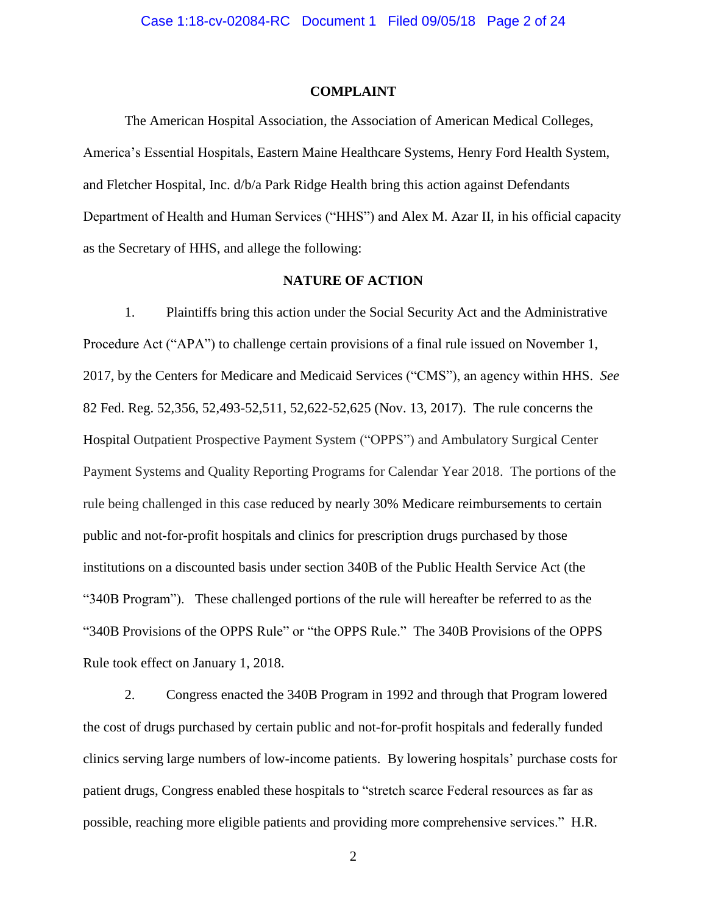# **COMPLAINT**

The American Hospital Association, the Association of American Medical Colleges, America's Essential Hospitals, Eastern Maine Healthcare Systems, Henry Ford Health System, and Fletcher Hospital, Inc. d/b/a Park Ridge Health bring this action against Defendants Department of Health and Human Services ("HHS") and Alex M. Azar II, in his official capacity as the Secretary of HHS, and allege the following:

# **NATURE OF ACTION**

1. Plaintiffs bring this action under the Social Security Act and the Administrative Procedure Act ("APA") to challenge certain provisions of a final rule issued on November 1, 2017, by the Centers for Medicare and Medicaid Services ("CMS"), an agency within HHS. *See*  82 Fed. Reg. 52,356, 52,493-52,511, 52,622-52,625 (Nov. 13, 2017). The rule concerns the Hospital Outpatient Prospective Payment System ("OPPS") and Ambulatory Surgical Center Payment Systems and Quality Reporting Programs for Calendar Year 2018. The portions of the rule being challenged in this case reduced by nearly 30% Medicare reimbursements to certain public and not-for-profit hospitals and clinics for prescription drugs purchased by those institutions on a discounted basis under section 340B of the Public Health Service Act (the "340B Program"). These challenged portions of the rule will hereafter be referred to as the "340B Provisions of the OPPS Rule" or "the OPPS Rule." The 340B Provisions of the OPPS Rule took effect on January 1, 2018.

2. Congress enacted the 340B Program in 1992 and through that Program lowered the cost of drugs purchased by certain public and not-for-profit hospitals and federally funded clinics serving large numbers of low-income patients. By lowering hospitals' purchase costs for patient drugs, Congress enabled these hospitals to "stretch scarce Federal resources as far as possible, reaching more eligible patients and providing more comprehensive services." H.R.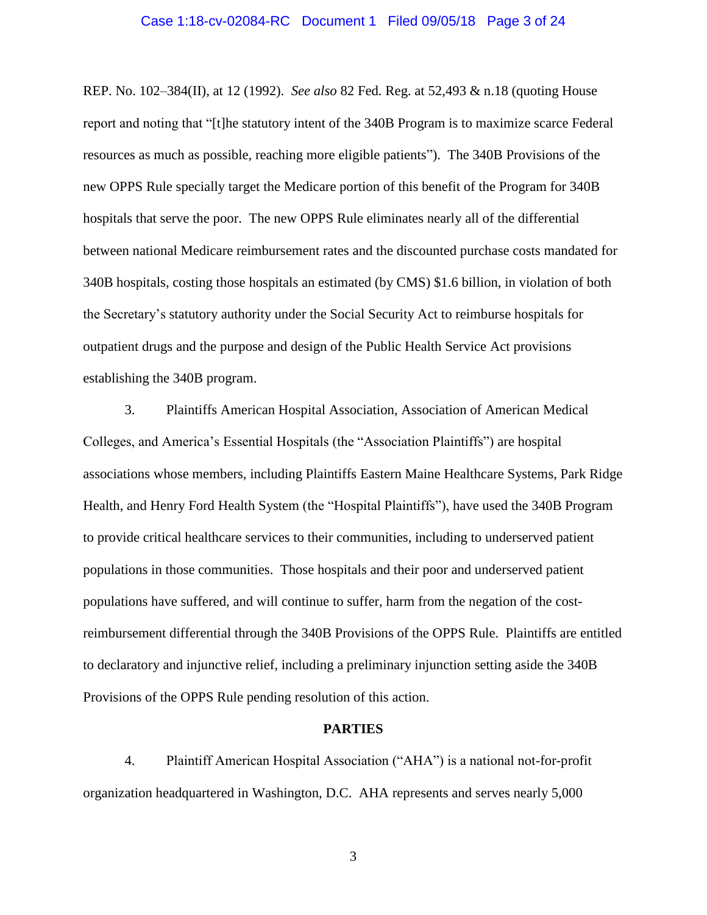## Case 1:18-cv-02084-RC Document 1 Filed 09/05/18 Page 3 of 24

REP. No. 102–384(II), at 12 (1992). *See also* 82 Fed. Reg. at 52,493 & n.18 (quoting House report and noting that "[t]he statutory intent of the 340B Program is to maximize scarce Federal resources as much as possible, reaching more eligible patients"). The 340B Provisions of the new OPPS Rule specially target the Medicare portion of this benefit of the Program for 340B hospitals that serve the poor. The new OPPS Rule eliminates nearly all of the differential between national Medicare reimbursement rates and the discounted purchase costs mandated for 340B hospitals, costing those hospitals an estimated (by CMS) \$1.6 billion, in violation of both the Secretary's statutory authority under the Social Security Act to reimburse hospitals for outpatient drugs and the purpose and design of the Public Health Service Act provisions establishing the 340B program.

3. Plaintiffs American Hospital Association, Association of American Medical Colleges, and America's Essential Hospitals (the "Association Plaintiffs") are hospital associations whose members, including Plaintiffs Eastern Maine Healthcare Systems, Park Ridge Health, and Henry Ford Health System (the "Hospital Plaintiffs"), have used the 340B Program to provide critical healthcare services to their communities, including to underserved patient populations in those communities. Those hospitals and their poor and underserved patient populations have suffered, and will continue to suffer, harm from the negation of the costreimbursement differential through the 340B Provisions of the OPPS Rule. Plaintiffs are entitled to declaratory and injunctive relief, including a preliminary injunction setting aside the 340B Provisions of the OPPS Rule pending resolution of this action.

#### **PARTIES**

4. Plaintiff American Hospital Association ("AHA") is a national not-for-profit organization headquartered in Washington, D.C. AHA represents and serves nearly 5,000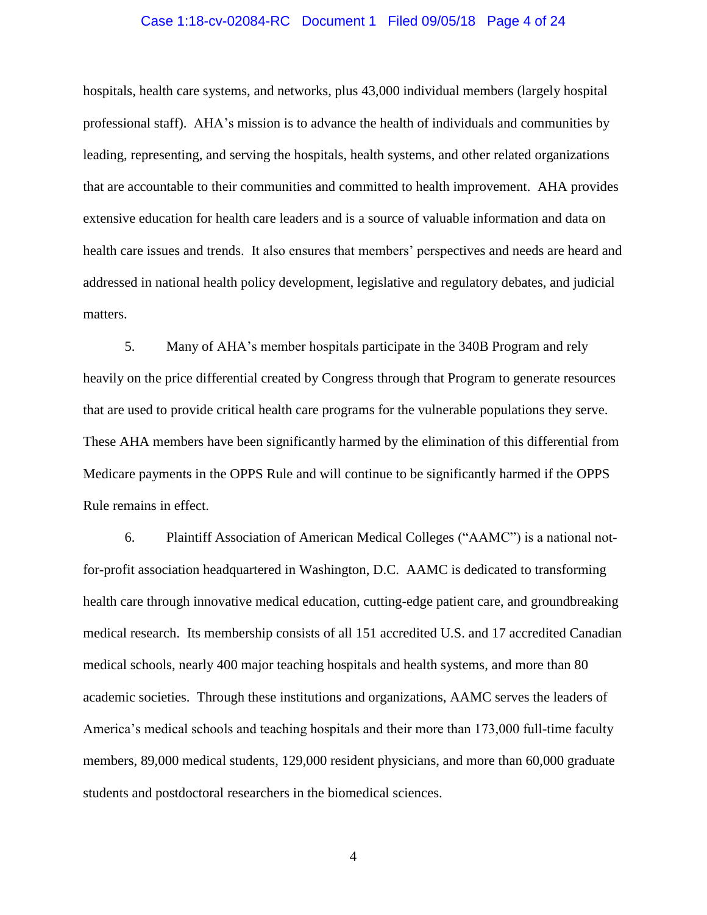# Case 1:18-cv-02084-RC Document 1 Filed 09/05/18 Page 4 of 24

hospitals, health care systems, and networks, plus 43,000 individual members (largely hospital professional staff). AHA's mission is to advance the health of individuals and communities by leading, representing, and serving the hospitals, health systems, and other related organizations that are accountable to their communities and committed to health improvement. AHA provides extensive education for health care leaders and is a source of valuable information and data on health care issues and trends. It also ensures that members' perspectives and needs are heard and addressed in national health policy development, legislative and regulatory debates, and judicial matters.

5. Many of AHA's member hospitals participate in the 340B Program and rely heavily on the price differential created by Congress through that Program to generate resources that are used to provide critical health care programs for the vulnerable populations they serve. These AHA members have been significantly harmed by the elimination of this differential from Medicare payments in the OPPS Rule and will continue to be significantly harmed if the OPPS Rule remains in effect.

6. Plaintiff Association of American Medical Colleges ("AAMC") is a national notfor-profit association headquartered in Washington, D.C. AAMC is dedicated to transforming health care through innovative medical education, cutting-edge patient care, and groundbreaking medical research. Its membership consists of all 151 accredited U.S. and 17 accredited Canadian medical schools, nearly 400 major teaching hospitals and health systems, and more than 80 academic societies. Through these institutions and organizations, AAMC serves the leaders of America's medical schools and teaching hospitals and their more than 173,000 full-time faculty members, 89,000 medical students, 129,000 resident physicians, and more than 60,000 graduate students and postdoctoral researchers in the biomedical sciences.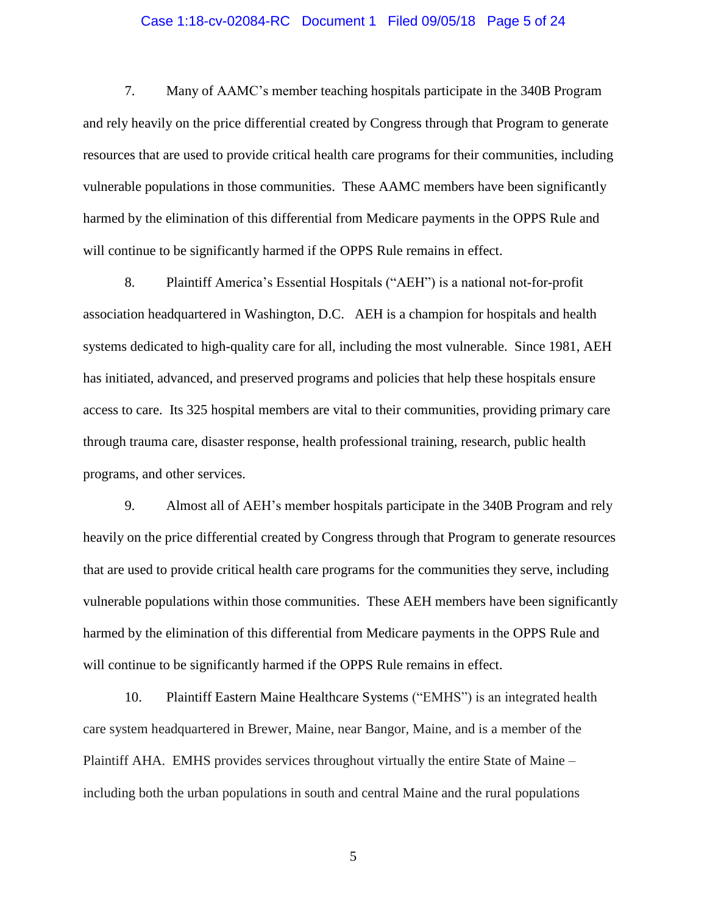# Case 1:18-cv-02084-RC Document 1 Filed 09/05/18 Page 5 of 24

7. Many of AAMC's member teaching hospitals participate in the 340B Program and rely heavily on the price differential created by Congress through that Program to generate resources that are used to provide critical health care programs for their communities, including vulnerable populations in those communities. These AAMC members have been significantly harmed by the elimination of this differential from Medicare payments in the OPPS Rule and will continue to be significantly harmed if the OPPS Rule remains in effect.

8. Plaintiff America's Essential Hospitals ("AEH") is a national not-for-profit association headquartered in Washington, D.C. AEH is a champion for hospitals and health systems dedicated to high-quality care for all, including the most vulnerable. Since 1981, AEH has initiated, advanced, and preserved programs and policies that help these hospitals ensure access to care. Its 325 hospital members are vital to their communities, providing primary care through trauma care, disaster response, health professional training, research, public health programs, and other services.

9. Almost all of AEH's member hospitals participate in the 340B Program and rely heavily on the price differential created by Congress through that Program to generate resources that are used to provide critical health care programs for the communities they serve, including vulnerable populations within those communities. These AEH members have been significantly harmed by the elimination of this differential from Medicare payments in the OPPS Rule and will continue to be significantly harmed if the OPPS Rule remains in effect.

10. Plaintiff Eastern Maine Healthcare Systems ("EMHS") is an integrated health care system headquartered in Brewer, Maine, near Bangor, Maine, and is a member of the Plaintiff AHA. EMHS provides services throughout virtually the entire State of Maine – including both the urban populations in south and central Maine and the rural populations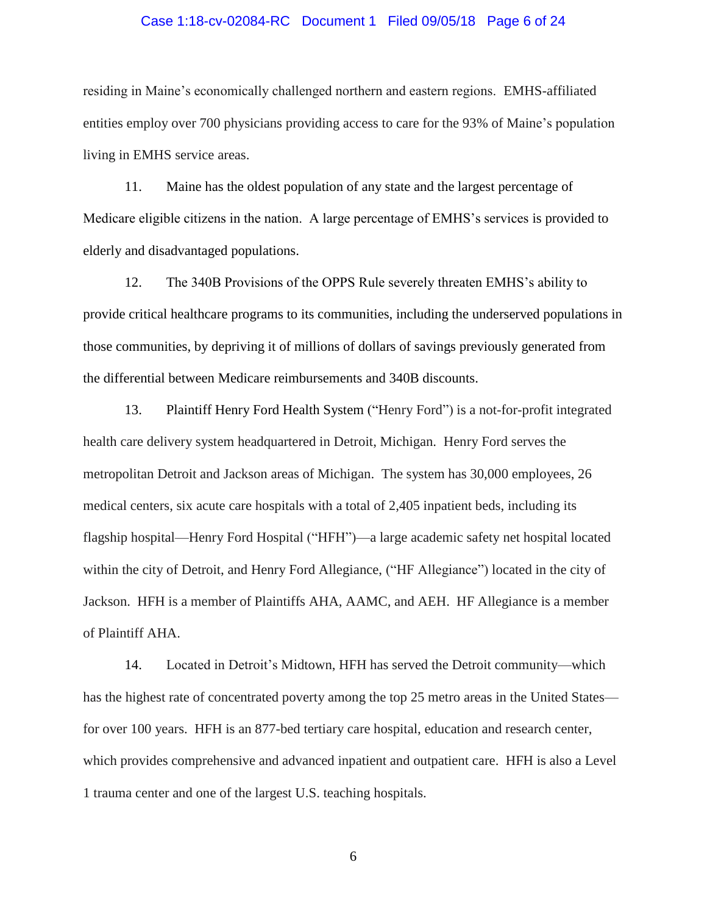## Case 1:18-cv-02084-RC Document 1 Filed 09/05/18 Page 6 of 24

residing in Maine's economically challenged northern and eastern regions. EMHS-affiliated entities employ over 700 physicians providing access to care for the 93% of Maine's population living in EMHS service areas.

11. Maine has the oldest population of any state and the largest percentage of Medicare eligible citizens in the nation. A large percentage of EMHS's services is provided to elderly and disadvantaged populations.

12. The 340B Provisions of the OPPS Rule severely threaten EMHS's ability to provide critical healthcare programs to its communities, including the underserved populations in those communities, by depriving it of millions of dollars of savings previously generated from the differential between Medicare reimbursements and 340B discounts.

13. Plaintiff Henry Ford Health System ("Henry Ford") is a not-for-profit integrated health care delivery system headquartered in Detroit, Michigan. Henry Ford serves the metropolitan Detroit and Jackson areas of Michigan. The system has 30,000 employees, 26 medical centers, six acute care hospitals with a total of 2,405 inpatient beds, including its flagship hospital—Henry Ford Hospital ("HFH")—a large academic safety net hospital located within the city of Detroit, and Henry Ford Allegiance, ("HF Allegiance") located in the city of Jackson. HFH is a member of Plaintiffs AHA, AAMC, and AEH. HF Allegiance is a member of Plaintiff AHA.

14. Located in Detroit's Midtown, HFH has served the Detroit community—which has the highest rate of concentrated poverty among the top 25 metro areas in the United States for over 100 years. HFH is an 877-bed tertiary care hospital, education and research center, which provides comprehensive and advanced inpatient and outpatient care. HFH is also a Level 1 trauma center and one of the largest U.S. teaching hospitals.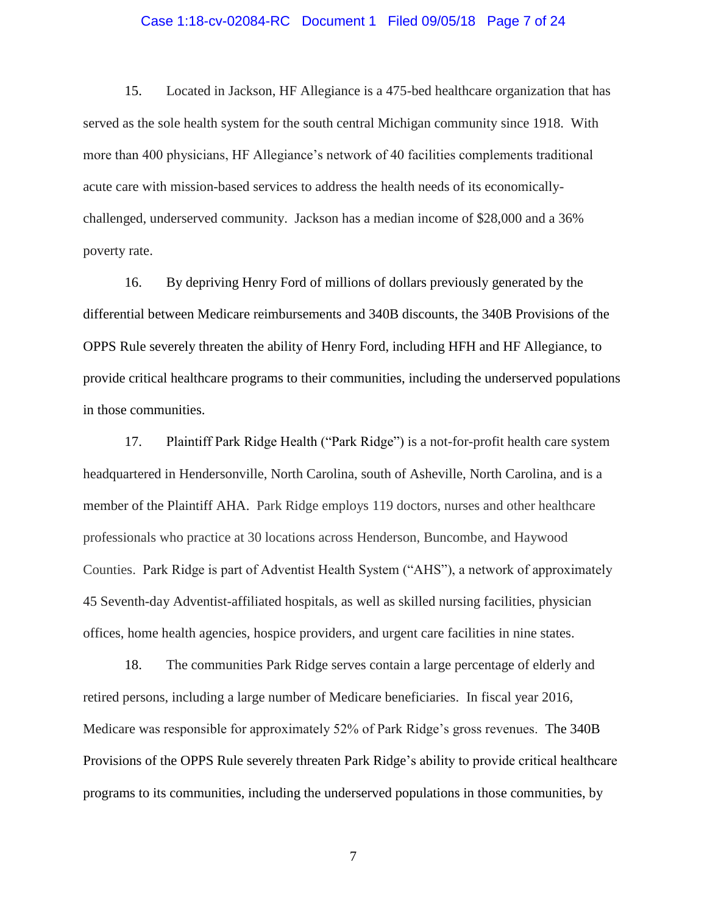# Case 1:18-cv-02084-RC Document 1 Filed 09/05/18 Page 7 of 24

15. Located in Jackson, HF Allegiance is a 475-bed healthcare organization that has served as the sole health system for the south central Michigan community since 1918. With more than 400 physicians, HF Allegiance's network of 40 facilities complements traditional acute care with mission-based services to address the health needs of its economicallychallenged, underserved community. Jackson has a median income of \$28,000 and a 36% poverty rate.

16. By depriving Henry Ford of millions of dollars previously generated by the differential between Medicare reimbursements and 340B discounts, the 340B Provisions of the OPPS Rule severely threaten the ability of Henry Ford, including HFH and HF Allegiance, to provide critical healthcare programs to their communities, including the underserved populations in those communities.

17. Plaintiff Park Ridge Health ("Park Ridge") is a not-for-profit health care system headquartered in Hendersonville, North Carolina, south of Asheville, North Carolina, and is a member of the Plaintiff AHA. Park Ridge employs 119 doctors, nurses and other healthcare professionals who practice at 30 locations across Henderson, Buncombe, and Haywood Counties. Park Ridge is part of Adventist Health System ("AHS"), a network of approximately 45 Seventh-day Adventist-affiliated hospitals, as well as skilled nursing facilities, physician offices, home health agencies, hospice providers, and urgent care facilities in nine states.

18. The communities Park Ridge serves contain a large percentage of elderly and retired persons, including a large number of Medicare beneficiaries. In fiscal year 2016, Medicare was responsible for approximately 52% of Park Ridge's gross revenues. The 340B Provisions of the OPPS Rule severely threaten Park Ridge's ability to provide critical healthcare programs to its communities, including the underserved populations in those communities, by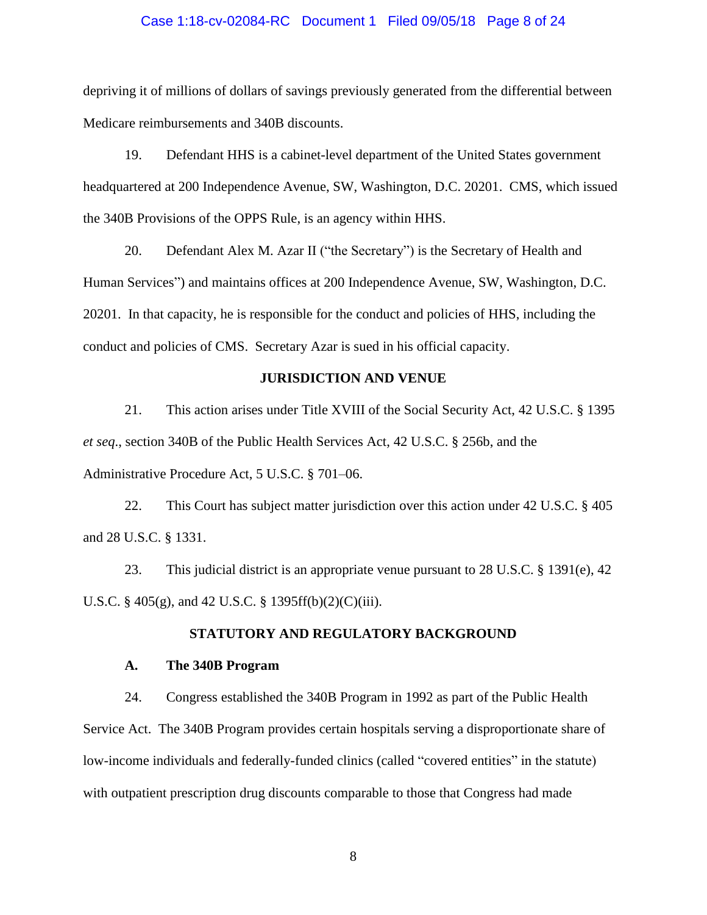### Case 1:18-cv-02084-RC Document 1 Filed 09/05/18 Page 8 of 24

depriving it of millions of dollars of savings previously generated from the differential between Medicare reimbursements and 340B discounts.

19. Defendant HHS is a cabinet-level department of the United States government headquartered at 200 Independence Avenue, SW, Washington, D.C. 20201. CMS, which issued the 340B Provisions of the OPPS Rule, is an agency within HHS.

20. Defendant Alex M. Azar II ("the Secretary") is the Secretary of Health and Human Services") and maintains offices at 200 Independence Avenue, SW, Washington, D.C. 20201. In that capacity, he is responsible for the conduct and policies of HHS, including the conduct and policies of CMS. Secretary Azar is sued in his official capacity.

# **JURISDICTION AND VENUE**

21. This action arises under Title XVIII of the Social Security Act, 42 U.S.C. § 1395 *et seq*., section 340B of the Public Health Services Act, 42 U.S.C. § 256b, and the Administrative Procedure Act, 5 U.S.C. § 701–06.

22. This Court has subject matter jurisdiction over this action under 42 U.S.C. § 405 and 28 U.S.C. § 1331.

23. This judicial district is an appropriate venue pursuant to 28 U.S.C. § 1391(e), 42 U.S.C. § 405(g), and 42 U.S.C. § 1395ff(b)(2)(C)(iii).

# **STATUTORY AND REGULATORY BACKGROUND**

#### **A. The 340B Program**

24. Congress established the 340B Program in 1992 as part of the Public Health Service Act. The 340B Program provides certain hospitals serving a disproportionate share of low-income individuals and federally-funded clinics (called "covered entities" in the statute) with outpatient prescription drug discounts comparable to those that Congress had made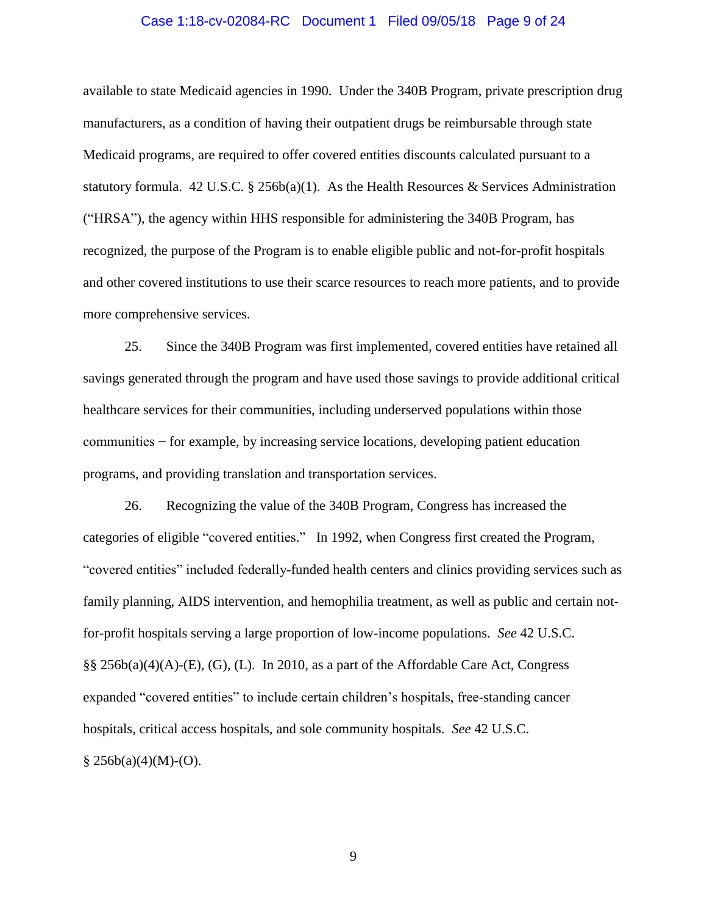## Case 1:18-cv-02084-RC Document 1 Filed 09/05/18 Page 9 of 24

available to state Medicaid agencies in 1990. Under the 340B Program, private prescription drug manufacturers, as a condition of having their outpatient drugs be reimbursable through state Medicaid programs, are required to offer covered entities discounts calculated pursuant to a statutory formula. 42 U.S.C. § 256b(a)(1). As the Health Resources & Services Administration ("HRSA"), the agency within HHS responsible for administering the 340B Program, has recognized, the purpose of the Program is to enable eligible public and not-for-profit hospitals and other covered institutions to use their scarce resources to reach more patients, and to provide more comprehensive services.

25. Since the 340B Program was first implemented, covered entities have retained all savings generated through the program and have used those savings to provide additional critical healthcare services for their communities, including underserved populations within those communities − for example, by increasing service locations, developing patient education programs, and providing translation and transportation services.

26. Recognizing the value of the 340B Program, Congress has increased the categories of eligible "covered entities." In 1992, when Congress first created the Program, "covered entities" included federally-funded health centers and clinics providing services such as family planning, AIDS intervention, and hemophilia treatment, as well as public and certain notfor-profit hospitals serving a large proportion of low-income populations. *See* 42 U.S.C. §§ 256b(a)(4)(A)-(E), (G), (L). In 2010, as a part of the Affordable Care Act, Congress expanded "covered entities" to include certain children's hospitals, free-standing cancer hospitals, critical access hospitals, and sole community hospitals. *See* 42 U.S.C.  $§ 256b(a)(4)(M)-(O).$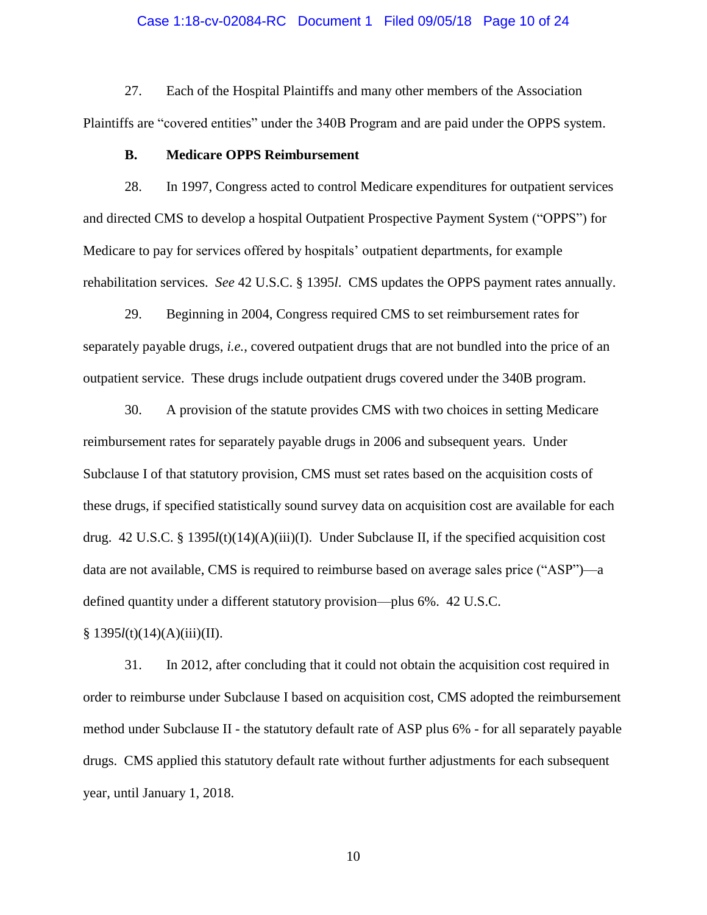# Case 1:18-cv-02084-RC Document 1 Filed 09/05/18 Page 10 of 24

27. Each of the Hospital Plaintiffs and many other members of the Association Plaintiffs are "covered entities" under the 340B Program and are paid under the OPPS system.

# **B. Medicare OPPS Reimbursement**

28. In 1997, Congress acted to control Medicare expenditures for outpatient services and directed CMS to develop a hospital Outpatient Prospective Payment System ("OPPS") for Medicare to pay for services offered by hospitals' outpatient departments, for example rehabilitation services. *See* 42 U.S.C. § 1395*l*. CMS updates the OPPS payment rates annually.

29. Beginning in 2004, Congress required CMS to set reimbursement rates for separately payable drugs, *i.e.*, covered outpatient drugs that are not bundled into the price of an outpatient service. These drugs include outpatient drugs covered under the 340B program.

30. A provision of the statute provides CMS with two choices in setting Medicare reimbursement rates for separately payable drugs in 2006 and subsequent years. Under Subclause I of that statutory provision, CMS must set rates based on the acquisition costs of these drugs, if specified statistically sound survey data on acquisition cost are available for each drug. 42 U.S.C. § 1395*l*(t)(14)(A)(iii)(I). Under Subclause II, if the specified acquisition cost data are not available, CMS is required to reimburse based on average sales price ("ASP")—a defined quantity under a different statutory provision—plus 6%. 42 U.S.C.

§ 1395*l*(t)(14)(A)(iii)(II).

31. In 2012, after concluding that it could not obtain the acquisition cost required in order to reimburse under Subclause I based on acquisition cost, CMS adopted the reimbursement method under Subclause II - the statutory default rate of ASP plus 6% - for all separately payable drugs. CMS applied this statutory default rate without further adjustments for each subsequent year, until January 1, 2018.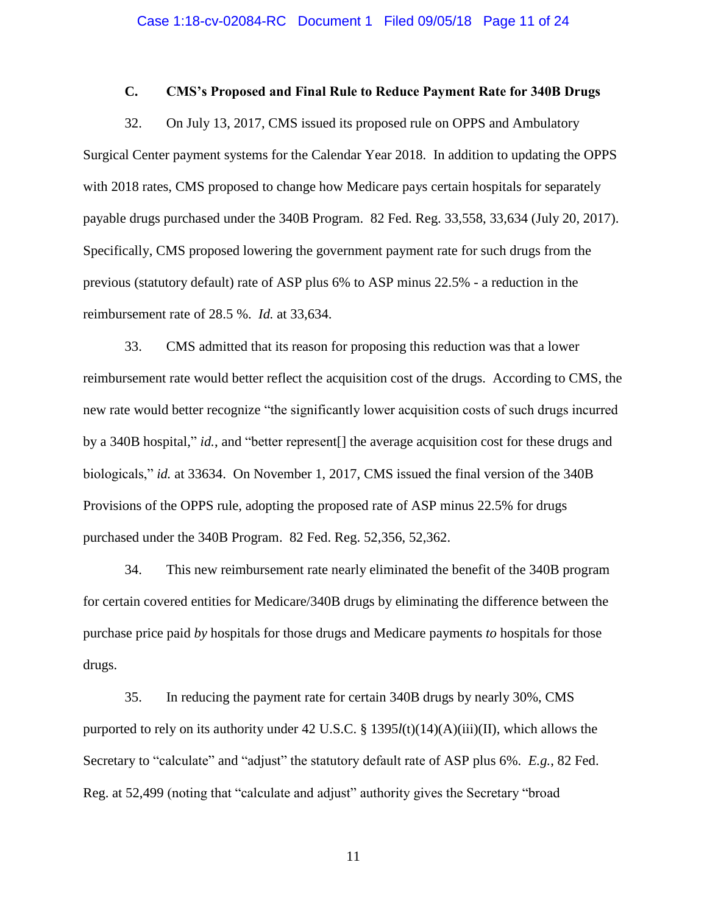# **C. CMS's Proposed and Final Rule to Reduce Payment Rate for 340B Drugs**

32. On July 13, 2017, CMS issued its proposed rule on OPPS and Ambulatory Surgical Center payment systems for the Calendar Year 2018. In addition to updating the OPPS with 2018 rates, CMS proposed to change how Medicare pays certain hospitals for separately payable drugs purchased under the 340B Program. 82 Fed. Reg. 33,558, 33,634 (July 20, 2017). Specifically, CMS proposed lowering the government payment rate for such drugs from the previous (statutory default) rate of ASP plus 6% to ASP minus 22.5% - a reduction in the reimbursement rate of 28.5 %. *Id.* at 33,634.

33. CMS admitted that its reason for proposing this reduction was that a lower reimbursement rate would better reflect the acquisition cost of the drugs. According to CMS, the new rate would better recognize "the significantly lower acquisition costs of such drugs incurred by a 340B hospital," *id.*, and "better represent[] the average acquisition cost for these drugs and biologicals," *id.* at 33634. On November 1, 2017, CMS issued the final version of the 340B Provisions of the OPPS rule, adopting the proposed rate of ASP minus 22.5% for drugs purchased under the 340B Program. 82 Fed. Reg. 52,356, 52,362.

34. This new reimbursement rate nearly eliminated the benefit of the 340B program for certain covered entities for Medicare/340B drugs by eliminating the difference between the purchase price paid *by* hospitals for those drugs and Medicare payments *to* hospitals for those drugs.

35. In reducing the payment rate for certain 340B drugs by nearly 30%, CMS purported to rely on its authority under 42 U.S.C. § 1395*l*(t)(14)(A)(iii)(II), which allows the Secretary to "calculate" and "adjust" the statutory default rate of ASP plus 6%. *E.g.*, 82 Fed. Reg. at 52,499 (noting that "calculate and adjust" authority gives the Secretary "broad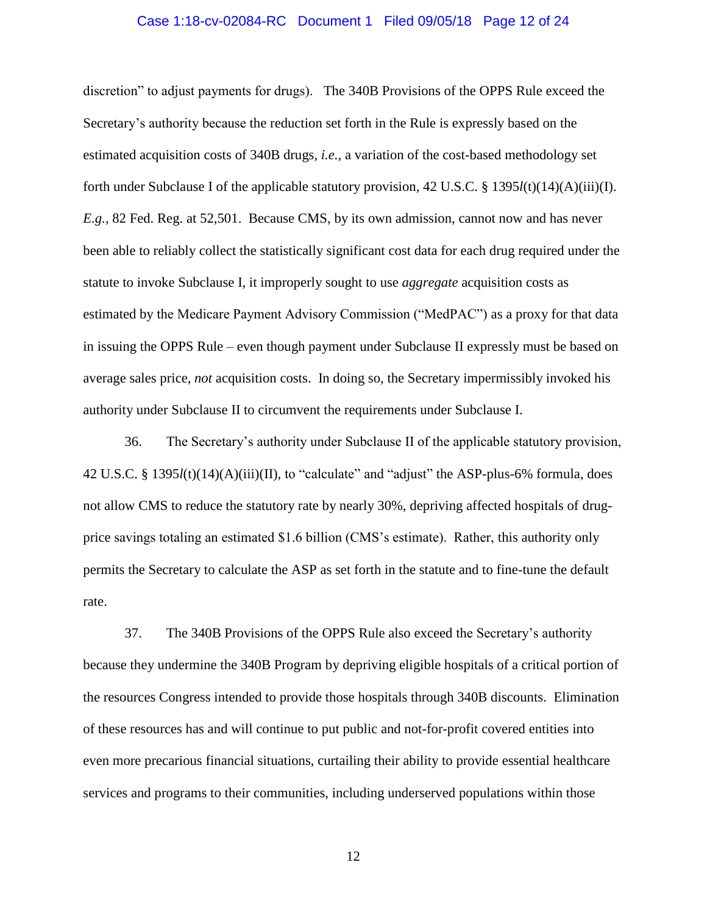# Case 1:18-cv-02084-RC Document 1 Filed 09/05/18 Page 12 of 24

discretion" to adjust payments for drugs). The 340B Provisions of the OPPS Rule exceed the Secretary's authority because the reduction set forth in the Rule is expressly based on the estimated acquisition costs of 340B drugs, *i.e.*, a variation of the cost-based methodology set forth under Subclause I of the applicable statutory provision, 42 U.S.C. § 1395*l*(t)(14)(A)(iii)(I). *E.g.,* 82 Fed. Reg. at 52,501. Because CMS, by its own admission, cannot now and has never been able to reliably collect the statistically significant cost data for each drug required under the statute to invoke Subclause I, it improperly sought to use *aggregate* acquisition costs as estimated by the Medicare Payment Advisory Commission ("MedPAC") as a proxy for that data in issuing the OPPS Rule – even though payment under Subclause II expressly must be based on average sales price, *not* acquisition costs. In doing so, the Secretary impermissibly invoked his authority under Subclause II to circumvent the requirements under Subclause I.

36. The Secretary's authority under Subclause II of the applicable statutory provision, 42 U.S.C. § 1395*l*(t)(14)(A)(iii)(II), to "calculate" and "adjust" the ASP-plus-6% formula, does not allow CMS to reduce the statutory rate by nearly 30%, depriving affected hospitals of drugprice savings totaling an estimated \$1.6 billion (CMS's estimate). Rather, this authority only permits the Secretary to calculate the ASP as set forth in the statute and to fine-tune the default rate.

37. The 340B Provisions of the OPPS Rule also exceed the Secretary's authority because they undermine the 340B Program by depriving eligible hospitals of a critical portion of the resources Congress intended to provide those hospitals through 340B discounts. Elimination of these resources has and will continue to put public and not-for-profit covered entities into even more precarious financial situations, curtailing their ability to provide essential healthcare services and programs to their communities, including underserved populations within those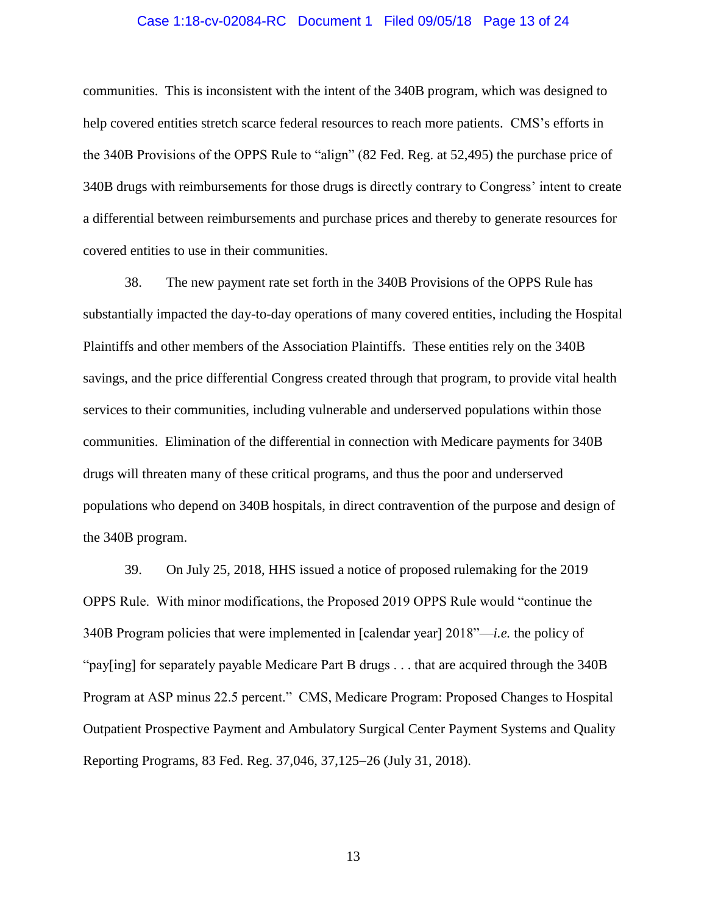# Case 1:18-cv-02084-RC Document 1 Filed 09/05/18 Page 13 of 24

communities. This is inconsistent with the intent of the 340B program, which was designed to help covered entities stretch scarce federal resources to reach more patients. CMS's efforts in the 340B Provisions of the OPPS Rule to "align" (82 Fed. Reg. at 52,495) the purchase price of 340B drugs with reimbursements for those drugs is directly contrary to Congress' intent to create a differential between reimbursements and purchase prices and thereby to generate resources for covered entities to use in their communities.

38. The new payment rate set forth in the 340B Provisions of the OPPS Rule has substantially impacted the day-to-day operations of many covered entities, including the Hospital Plaintiffs and other members of the Association Plaintiffs. These entities rely on the 340B savings, and the price differential Congress created through that program, to provide vital health services to their communities, including vulnerable and underserved populations within those communities. Elimination of the differential in connection with Medicare payments for 340B drugs will threaten many of these critical programs, and thus the poor and underserved populations who depend on 340B hospitals, in direct contravention of the purpose and design of the 340B program.

39. On July 25, 2018, HHS issued a notice of proposed rulemaking for the 2019 OPPS Rule. With minor modifications, the Proposed 2019 OPPS Rule would "continue the 340B Program policies that were implemented in [calendar year] 2018"—*i.e.* the policy of "pay[ing] for separately payable Medicare Part B drugs . . . that are acquired through the 340B Program at ASP minus 22.5 percent." CMS, Medicare Program: Proposed Changes to Hospital Outpatient Prospective Payment and Ambulatory Surgical Center Payment Systems and Quality Reporting Programs, 83 Fed. Reg. 37,046, 37,125–26 (July 31, 2018).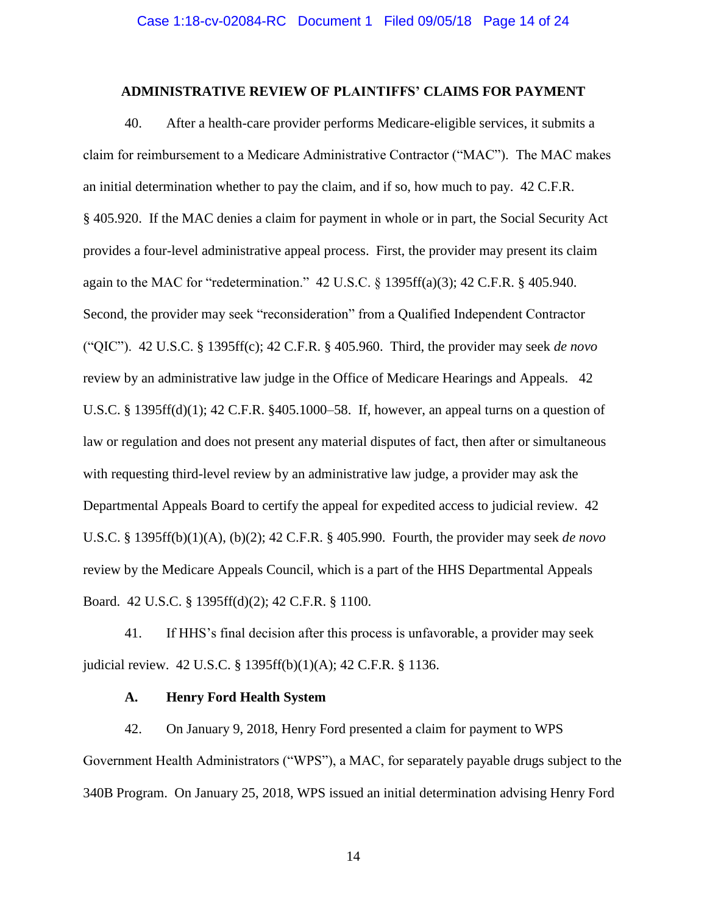# **ADMINISTRATIVE REVIEW OF PLAINTIFFS' CLAIMS FOR PAYMENT**

40. After a health-care provider performs Medicare-eligible services, it submits a claim for reimbursement to a Medicare Administrative Contractor ("MAC"). The MAC makes an initial determination whether to pay the claim, and if so, how much to pay. 42 C.F.R. § 405.920. If the MAC denies a claim for payment in whole or in part, the Social Security Act provides a four-level administrative appeal process. First, the provider may present its claim again to the MAC for "redetermination." 42 U.S.C. § 1395ff(a)(3); 42 C.F.R. § 405.940. Second, the provider may seek "reconsideration" from a Qualified Independent Contractor ("QIC"). 42 U.S.C. § 1395ff(c); 42 C.F.R. § 405.960. Third, the provider may seek *de novo*  review by an administrative law judge in the Office of Medicare Hearings and Appeals. 42 U.S.C. § 1395ff(d)(1); 42 C.F.R. §405.1000–58. If, however, an appeal turns on a question of law or regulation and does not present any material disputes of fact, then after or simultaneous with requesting third-level review by an administrative law judge, a provider may ask the Departmental Appeals Board to certify the appeal for expedited access to judicial review. 42 U.S.C. § 1395ff(b)(1)(A), (b)(2); 42 C.F.R. § 405.990.Fourth, the provider may seek *de novo*  review by the Medicare Appeals Council, which is a part of the HHS Departmental Appeals Board. 42 U.S.C. § 1395ff(d)(2); 42 C.F.R. § 1100.

41. If HHS's final decision after this process is unfavorable, a provider may seek judicial review. 42 U.S.C. § 1395ff(b)(1)(A); 42 C.F.R. § 1136.

# **A. Henry Ford Health System**

42. On January 9, 2018, Henry Ford presented a claim for payment to WPS Government Health Administrators ("WPS"), a MAC, for separately payable drugs subject to the 340B Program. On January 25, 2018, WPS issued an initial determination advising Henry Ford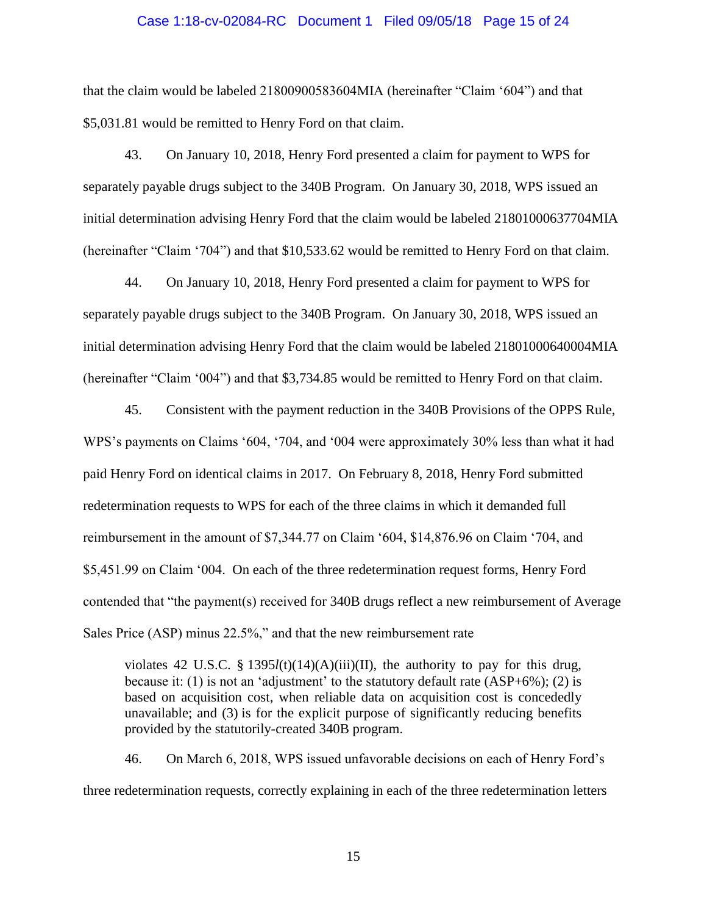## Case 1:18-cv-02084-RC Document 1 Filed 09/05/18 Page 15 of 24

that the claim would be labeled 21800900583604MIA (hereinafter "Claim '604") and that \$5,031.81 would be remitted to Henry Ford on that claim.

43. On January 10, 2018, Henry Ford presented a claim for payment to WPS for separately payable drugs subject to the 340B Program. On January 30, 2018, WPS issued an initial determination advising Henry Ford that the claim would be labeled 21801000637704MIA (hereinafter "Claim '704") and that \$10,533.62 would be remitted to Henry Ford on that claim.

44. On January 10, 2018, Henry Ford presented a claim for payment to WPS for separately payable drugs subject to the 340B Program. On January 30, 2018, WPS issued an initial determination advising Henry Ford that the claim would be labeled 21801000640004MIA (hereinafter "Claim '004") and that \$3,734.85 would be remitted to Henry Ford on that claim.

45. Consistent with the payment reduction in the 340B Provisions of the OPPS Rule, WPS's payments on Claims '604, '704, and '004 were approximately 30% less than what it had paid Henry Ford on identical claims in 2017. On February 8, 2018, Henry Ford submitted redetermination requests to WPS for each of the three claims in which it demanded full reimbursement in the amount of \$7,344.77 on Claim '604, \$14,876.96 on Claim '704, and \$5,451.99 on Claim '004. On each of the three redetermination request forms, Henry Ford contended that "the payment(s) received for 340B drugs reflect a new reimbursement of Average Sales Price (ASP) minus 22.5%," and that the new reimbursement rate

violates 42 U.S.C. §  $1395l(t)(14)(A)(iii)(II)$ , the authority to pay for this drug, because it: (1) is not an 'adjustment' to the statutory default rate (ASP+6%); (2) is based on acquisition cost, when reliable data on acquisition cost is concededly unavailable; and (3) is for the explicit purpose of significantly reducing benefits provided by the statutorily-created 340B program.

46. On March 6, 2018, WPS issued unfavorable decisions on each of Henry Ford's three redetermination requests, correctly explaining in each of the three redetermination letters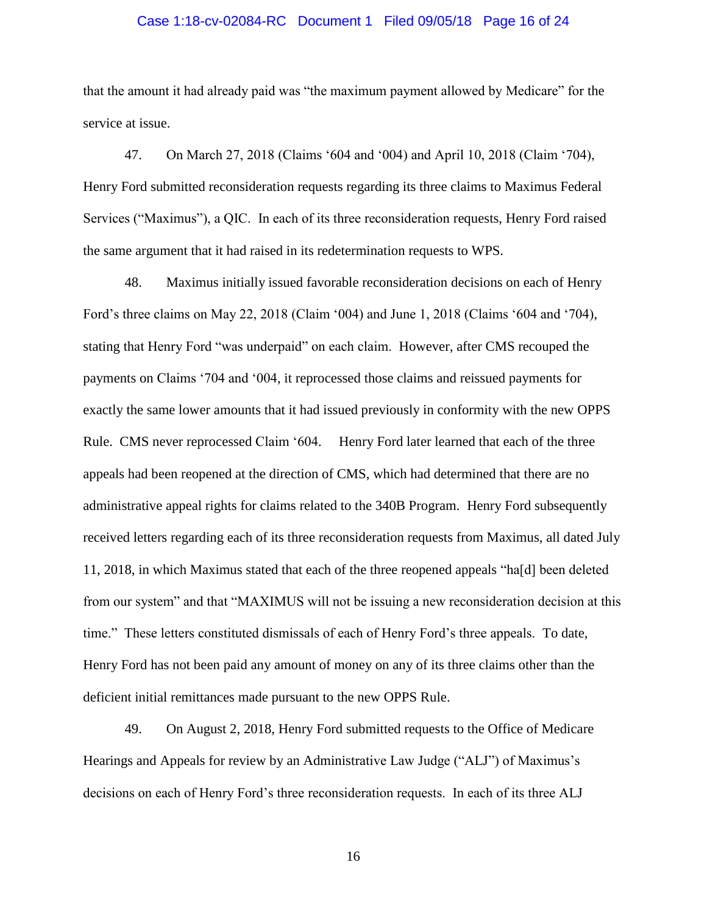# Case 1:18-cv-02084-RC Document 1 Filed 09/05/18 Page 16 of 24

that the amount it had already paid was "the maximum payment allowed by Medicare" for the service at issue.

47. On March 27, 2018 (Claims '604 and '004) and April 10, 2018 (Claim '704), Henry Ford submitted reconsideration requests regarding its three claims to Maximus Federal Services ("Maximus"), a QIC. In each of its three reconsideration requests, Henry Ford raised the same argument that it had raised in its redetermination requests to WPS.

48. Maximus initially issued favorable reconsideration decisions on each of Henry Ford's three claims on May 22, 2018 (Claim '004) and June 1, 2018 (Claims '604 and '704), stating that Henry Ford "was underpaid" on each claim. However, after CMS recouped the payments on Claims '704 and '004, it reprocessed those claims and reissued payments for exactly the same lower amounts that it had issued previously in conformity with the new OPPS Rule. CMS never reprocessed Claim '604. Henry Ford later learned that each of the three appeals had been reopened at the direction of CMS, which had determined that there are no administrative appeal rights for claims related to the 340B Program. Henry Ford subsequently received letters regarding each of its three reconsideration requests from Maximus, all dated July 11, 2018, in which Maximus stated that each of the three reopened appeals "ha[d] been deleted from our system" and that "MAXIMUS will not be issuing a new reconsideration decision at this time." These letters constituted dismissals of each of Henry Ford's three appeals. To date, Henry Ford has not been paid any amount of money on any of its three claims other than the deficient initial remittances made pursuant to the new OPPS Rule.

49. On August 2, 2018, Henry Ford submitted requests to the Office of Medicare Hearings and Appeals for review by an Administrative Law Judge ("ALJ") of Maximus's decisions on each of Henry Ford's three reconsideration requests. In each of its three ALJ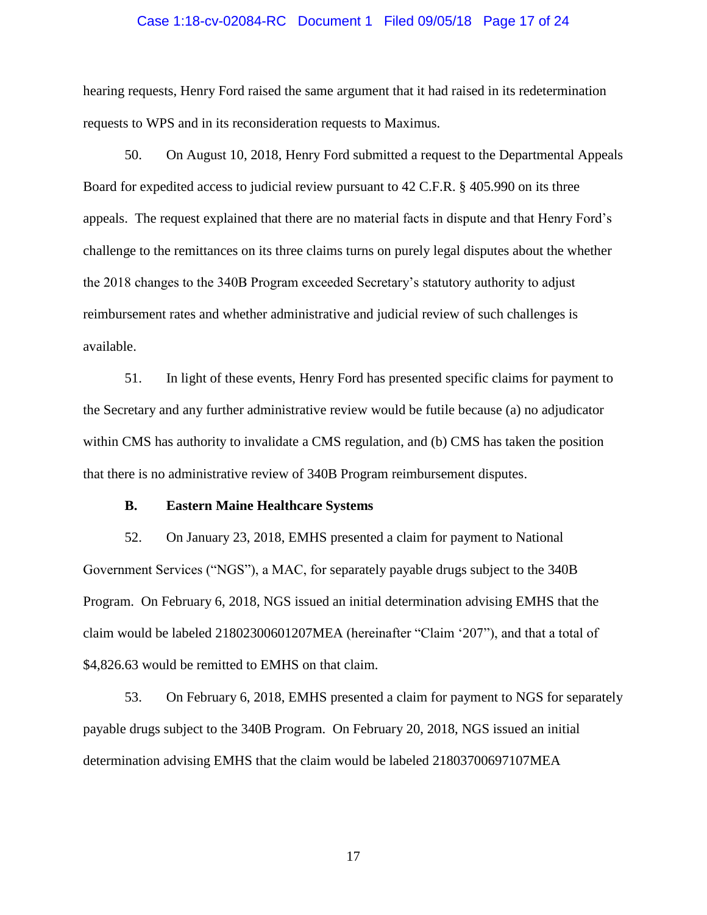### Case 1:18-cv-02084-RC Document 1 Filed 09/05/18 Page 17 of 24

hearing requests, Henry Ford raised the same argument that it had raised in its redetermination requests to WPS and in its reconsideration requests to Maximus.

50. On August 10, 2018, Henry Ford submitted a request to the Departmental Appeals Board for expedited access to judicial review pursuant to 42 C.F.R. § 405.990 on its three appeals. The request explained that there are no material facts in dispute and that Henry Ford's challenge to the remittances on its three claims turns on purely legal disputes about the whether the 2018 changes to the 340B Program exceeded Secretary's statutory authority to adjust reimbursement rates and whether administrative and judicial review of such challenges is available.

51. In light of these events, Henry Ford has presented specific claims for payment to the Secretary and any further administrative review would be futile because (a) no adjudicator within CMS has authority to invalidate a CMS regulation, and (b) CMS has taken the position that there is no administrative review of 340B Program reimbursement disputes.

# **B. Eastern Maine Healthcare Systems**

52. On January 23, 2018, EMHS presented a claim for payment to National Government Services ("NGS"), a MAC, for separately payable drugs subject to the 340B Program. On February 6, 2018, NGS issued an initial determination advising EMHS that the claim would be labeled 21802300601207MEA (hereinafter "Claim '207"), and that a total of \$4,826.63 would be remitted to EMHS on that claim.

53. On February 6, 2018, EMHS presented a claim for payment to NGS for separately payable drugs subject to the 340B Program. On February 20, 2018, NGS issued an initial determination advising EMHS that the claim would be labeled 21803700697107MEA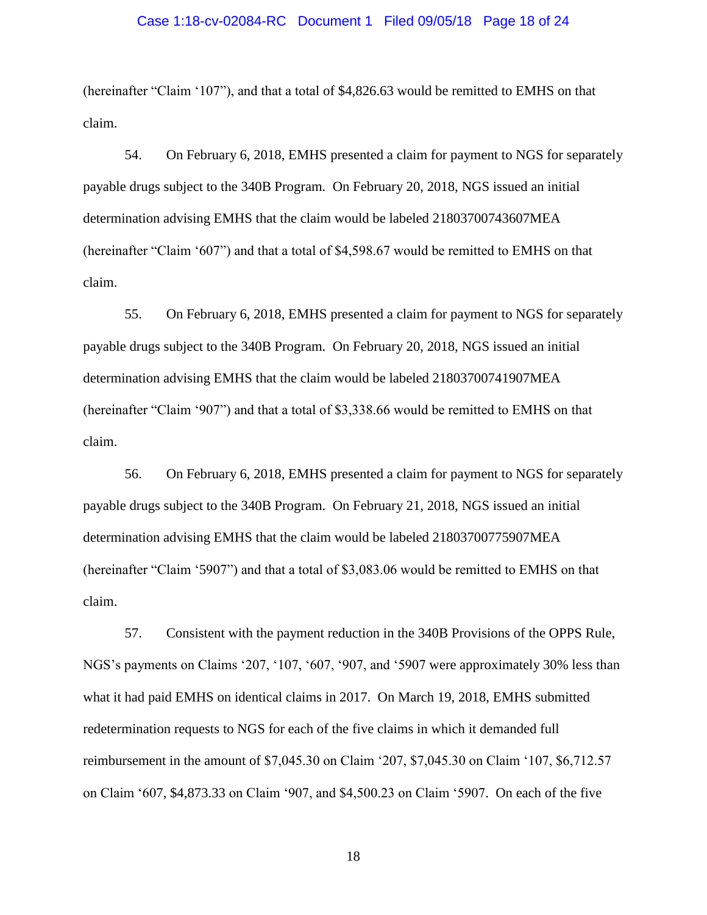## Case 1:18-cv-02084-RC Document 1 Filed 09/05/18 Page 18 of 24

(hereinafter "Claim '107"), and that a total of \$4,826.63 would be remitted to EMHS on that claim.

54. On February 6, 2018, EMHS presented a claim for payment to NGS for separately payable drugs subject to the 340B Program. On February 20, 2018, NGS issued an initial determination advising EMHS that the claim would be labeled 21803700743607MEA (hereinafter "Claim '607") and that a total of \$4,598.67 would be remitted to EMHS on that claim.

55. On February 6, 2018, EMHS presented a claim for payment to NGS for separately payable drugs subject to the 340B Program. On February 20, 2018, NGS issued an initial determination advising EMHS that the claim would be labeled 21803700741907MEA (hereinafter "Claim '907") and that a total of \$3,338.66 would be remitted to EMHS on that claim.

56. On February 6, 2018, EMHS presented a claim for payment to NGS for separately payable drugs subject to the 340B Program. On February 21, 2018, NGS issued an initial determination advising EMHS that the claim would be labeled 21803700775907MEA (hereinafter "Claim '5907") and that a total of \$3,083.06 would be remitted to EMHS on that claim.

57. Consistent with the payment reduction in the 340B Provisions of the OPPS Rule, NGS's payments on Claims '207, '107, '607, '907, and '5907 were approximately 30% less than what it had paid EMHS on identical claims in 2017. On March 19, 2018, EMHS submitted redetermination requests to NGS for each of the five claims in which it demanded full reimbursement in the amount of \$7,045.30 on Claim '207, \$7,045.30 on Claim '107, \$6,712.57 on Claim '607, \$4,873.33 on Claim '907, and \$4,500.23 on Claim '5907. On each of the five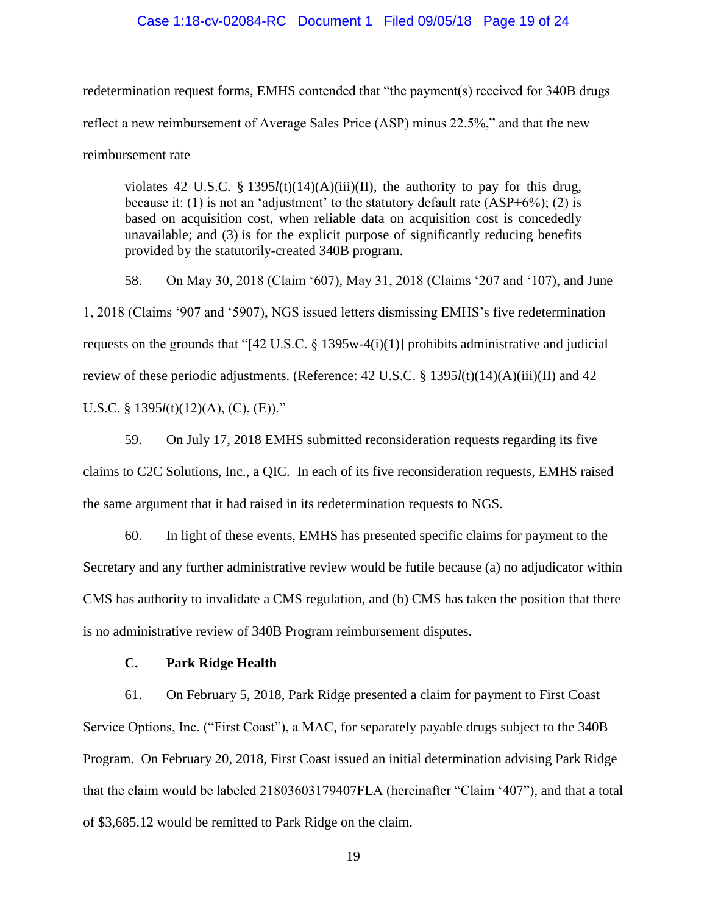# Case 1:18-cv-02084-RC Document 1 Filed 09/05/18 Page 19 of 24

redetermination request forms, EMHS contended that "the payment(s) received for 340B drugs reflect a new reimbursement of Average Sales Price (ASP) minus 22.5%," and that the new reimbursement rate

violates 42 U.S.C. § 1395*l*(t)(14)(A)(iii)(II), the authority to pay for this drug, because it: (1) is not an 'adjustment' to the statutory default rate  $(ASP+6\%)$ ; (2) is based on acquisition cost, when reliable data on acquisition cost is concededly unavailable; and (3) is for the explicit purpose of significantly reducing benefits provided by the statutorily-created 340B program.

58. On May 30, 2018 (Claim '607), May 31, 2018 (Claims '207 and '107), and June 1, 2018 (Claims '907 and '5907), NGS issued letters dismissing EMHS's five redetermination requests on the grounds that "[42 U.S.C. § 1395w-4(i)(1)] prohibits administrative and judicial review of these periodic adjustments. (Reference: 42 U.S.C. § 1395*l*(t)(14)(A)(iii)(II) and 42 U.S.C. § 1395*l*(t)(12)(A), (C), (E))."

59. On July 17, 2018 EMHS submitted reconsideration requests regarding its five claims to C2C Solutions, Inc., a QIC. In each of its five reconsideration requests, EMHS raised the same argument that it had raised in its redetermination requests to NGS.

60. In light of these events, EMHS has presented specific claims for payment to the Secretary and any further administrative review would be futile because (a) no adjudicator within CMS has authority to invalidate a CMS regulation, and (b) CMS has taken the position that there is no administrative review of 340B Program reimbursement disputes.

# **C. Park Ridge Health**

61. On February 5, 2018, Park Ridge presented a claim for payment to First Coast Service Options, Inc. ("First Coast"), a MAC, for separately payable drugs subject to the 340B Program. On February 20, 2018, First Coast issued an initial determination advising Park Ridge that the claim would be labeled 21803603179407FLA (hereinafter "Claim '407"), and that a total of \$3,685.12 would be remitted to Park Ridge on the claim.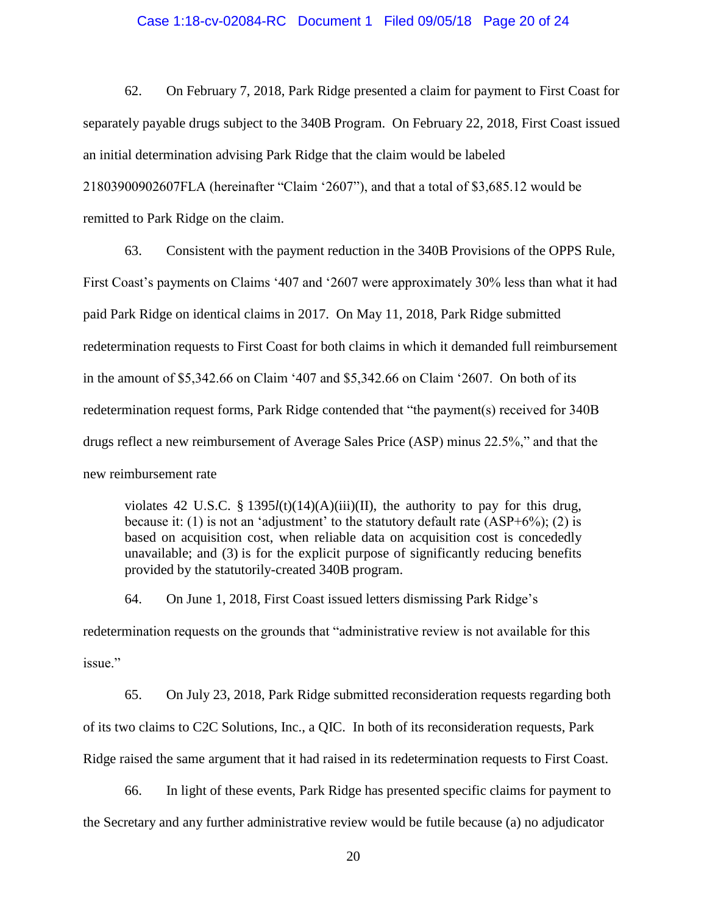# Case 1:18-cv-02084-RC Document 1 Filed 09/05/18 Page 20 of 24

62. On February 7, 2018, Park Ridge presented a claim for payment to First Coast for separately payable drugs subject to the 340B Program. On February 22, 2018, First Coast issued an initial determination advising Park Ridge that the claim would be labeled 21803900902607FLA (hereinafter "Claim '2607"), and that a total of \$3,685.12 would be remitted to Park Ridge on the claim.

63. Consistent with the payment reduction in the 340B Provisions of the OPPS Rule, First Coast's payments on Claims '407 and '2607 were approximately 30% less than what it had paid Park Ridge on identical claims in 2017. On May 11, 2018, Park Ridge submitted redetermination requests to First Coast for both claims in which it demanded full reimbursement in the amount of \$5,342.66 on Claim '407 and \$5,342.66 on Claim '2607. On both of its redetermination request forms, Park Ridge contended that "the payment(s) received for 340B drugs reflect a new reimbursement of Average Sales Price (ASP) minus 22.5%," and that the new reimbursement rate

violates 42 U.S.C. § 1395*l*(t)(14)(A)(iii)(II), the authority to pay for this drug, because it: (1) is not an 'adjustment' to the statutory default rate  $(ASP+6\%)$ ; (2) is based on acquisition cost, when reliable data on acquisition cost is concededly unavailable; and (3) is for the explicit purpose of significantly reducing benefits provided by the statutorily-created 340B program.

64. On June 1, 2018, First Coast issued letters dismissing Park Ridge's redetermination requests on the grounds that "administrative review is not available for this issue."

65. On July 23, 2018, Park Ridge submitted reconsideration requests regarding both of its two claims to C2C Solutions, Inc., a QIC. In both of its reconsideration requests, Park Ridge raised the same argument that it had raised in its redetermination requests to First Coast.

66. In light of these events, Park Ridge has presented specific claims for payment to the Secretary and any further administrative review would be futile because (a) no adjudicator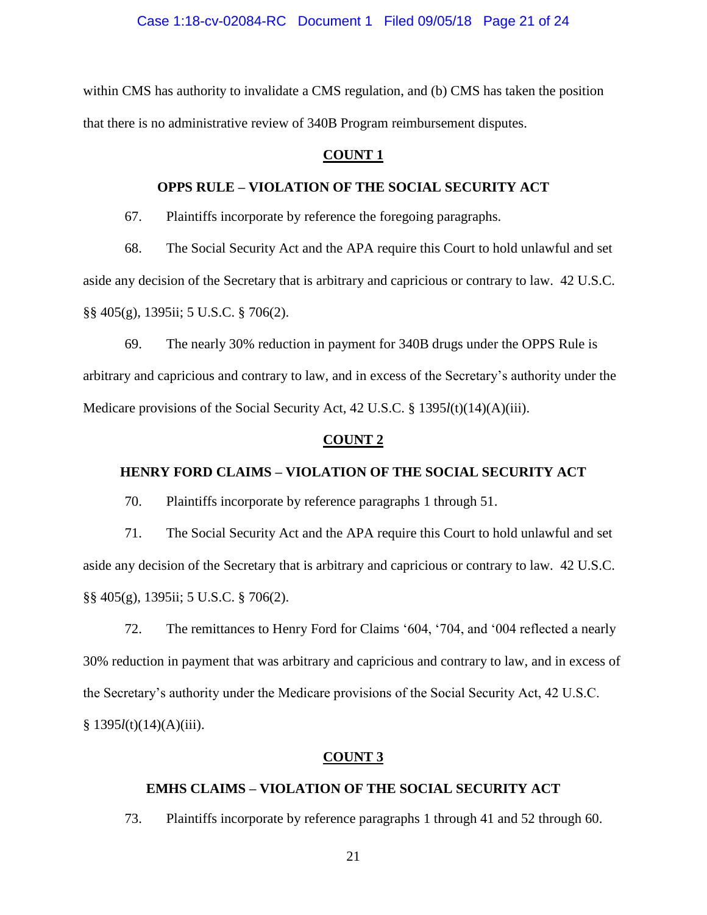within CMS has authority to invalidate a CMS regulation, and (b) CMS has taken the position that there is no administrative review of 340B Program reimbursement disputes.

# **COUNT 1**

# **OPPS RULE – VIOLATION OF THE SOCIAL SECURITY ACT**

67. Plaintiffs incorporate by reference the foregoing paragraphs.

68. The Social Security Act and the APA require this Court to hold unlawful and set aside any decision of the Secretary that is arbitrary and capricious or contrary to law. 42 U.S.C. §§ 405(g), 1395ii; 5 U.S.C. § 706(2).

69. The nearly 30% reduction in payment for 340B drugs under the OPPS Rule is arbitrary and capricious and contrary to law, and in excess of the Secretary's authority under the Medicare provisions of the Social Security Act, 42 U.S.C. § 1395*l*(t)(14)(A)(iii).

# **COUNT 2**

# **HENRY FORD CLAIMS – VIOLATION OF THE SOCIAL SECURITY ACT**

70. Plaintiffs incorporate by reference paragraphs 1 through 51.

71. The Social Security Act and the APA require this Court to hold unlawful and set aside any decision of the Secretary that is arbitrary and capricious or contrary to law. 42 U.S.C. §§ 405(g), 1395ii; 5 U.S.C. § 706(2).

72. The remittances to Henry Ford for Claims '604, '704, and '004 reflected a nearly 30% reduction in payment that was arbitrary and capricious and contrary to law, and in excess of the Secretary's authority under the Medicare provisions of the Social Security Act, 42 U.S.C. § 1395*l*(t)(14)(A)(iii).

# **COUNT 3**

# **EMHS CLAIMS – VIOLATION OF THE SOCIAL SECURITY ACT**

73. Plaintiffs incorporate by reference paragraphs 1 through 41 and 52 through 60.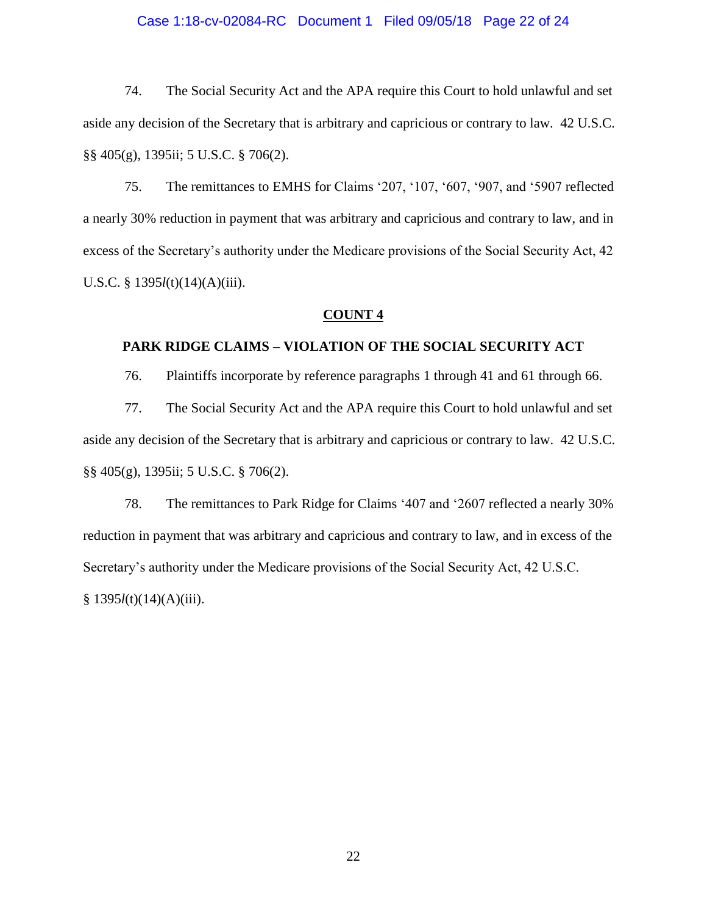# Case 1:18-cv-02084-RC Document 1 Filed 09/05/18 Page 22 of 24

74. The Social Security Act and the APA require this Court to hold unlawful and set aside any decision of the Secretary that is arbitrary and capricious or contrary to law. 42 U.S.C. §§ 405(g), 1395ii; 5 U.S.C. § 706(2).

75. The remittances to EMHS for Claims '207, '107, '607, '907, and '5907 reflected a nearly 30% reduction in payment that was arbitrary and capricious and contrary to law, and in excess of the Secretary's authority under the Medicare provisions of the Social Security Act, 42 U.S.C. § 1395*l*(t)(14)(A)(iii).

# **COUNT 4**

# **PARK RIDGE CLAIMS – VIOLATION OF THE SOCIAL SECURITY ACT**

76. Plaintiffs incorporate by reference paragraphs 1 through 41 and 61 through 66.

77. The Social Security Act and the APA require this Court to hold unlawful and set aside any decision of the Secretary that is arbitrary and capricious or contrary to law. 42 U.S.C. §§ 405(g), 1395ii; 5 U.S.C. § 706(2).

78. The remittances to Park Ridge for Claims '407 and '2607 reflected a nearly 30% reduction in payment that was arbitrary and capricious and contrary to law, and in excess of the Secretary's authority under the Medicare provisions of the Social Security Act, 42 U.S.C. § 1395*l*(t)(14)(A)(iii).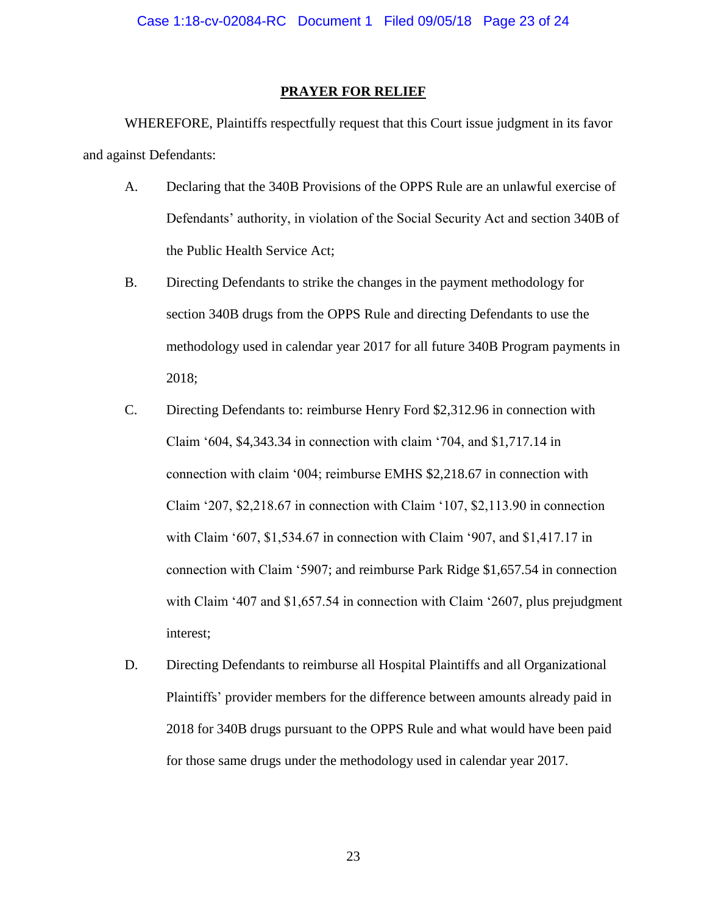# **PRAYER FOR RELIEF**

WHEREFORE, Plaintiffs respectfully request that this Court issue judgment in its favor and against Defendants:

- A. Declaring that the 340B Provisions of the OPPS Rule are an unlawful exercise of Defendants' authority, in violation of the Social Security Act and section 340B of the Public Health Service Act;
- B. Directing Defendants to strike the changes in the payment methodology for section 340B drugs from the OPPS Rule and directing Defendants to use the methodology used in calendar year 2017 for all future 340B Program payments in 2018;
- C. Directing Defendants to: reimburse Henry Ford \$2,312.96 in connection with Claim '604, \$4,343.34 in connection with claim '704, and \$1,717.14 in connection with claim '004; reimburse EMHS \$2,218.67 in connection with Claim '207, \$2,218.67 in connection with Claim '107, \$2,113.90 in connection with Claim '607, \$1,534.67 in connection with Claim '907, and \$1,417.17 in connection with Claim '5907; and reimburse Park Ridge \$1,657.54 in connection with Claim '407 and \$1,657.54 in connection with Claim '2607, plus prejudgment interest;
- D. Directing Defendants to reimburse all Hospital Plaintiffs and all Organizational Plaintiffs' provider members for the difference between amounts already paid in 2018 for 340B drugs pursuant to the OPPS Rule and what would have been paid for those same drugs under the methodology used in calendar year 2017.